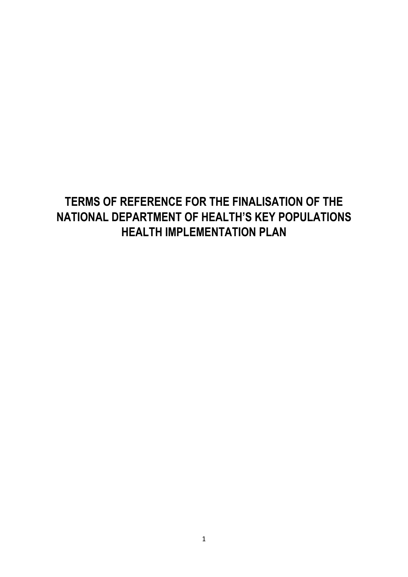# **TERMS OF REFERENCE FOR THE FINALISATION OF THE NATIONAL DEPARTMENT OF HEALTH'S KEY POPULATIONS HEALTH IMPLEMENTATION PLAN**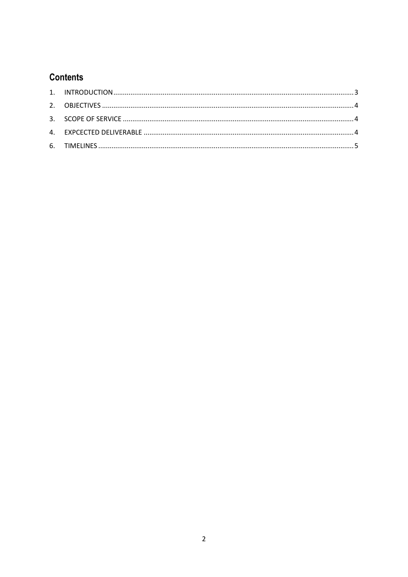## **Contents**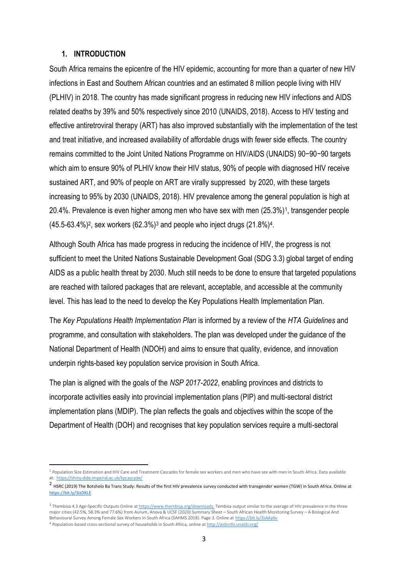#### <span id="page-2-0"></span>**1. INTRODUCTION**

**.** 

South Africa remains the epicentre of the HIV epidemic, accounting for more than a quarter of new HIV infections in East and Southern African countries and an estimated 8 million people living with HIV (PLHIV) in 2018. The country has made significant progress in reducing new HIV infections and AIDS related deaths by 39% and 50% respectively since 2010 (UNAIDS, 2018). Access to HIV testing and effective antiretroviral therapy (ART) has also improved substantially with the implementation of the test and treat initiative, and increased availability of affordable drugs with fewer side effects. The country remains committed to the Joint United Nations Programme on HIV/AIDS (UNAIDS) 90−90−90 targets which aim to ensure 90% of PLHIV know their HIV status, 90% of people with diagnosed HIV receive sustained ART, and 90% of people on ART are virally suppressed by 2020, with these targets increasing to 95% by 2030 (UNAIDS, 2018). HIV prevalence among the general population is high at 20.4%. Prevalence is even higher among men who have sex with men (25.3%)<sup>1</sup> , transgender people  $(45.5-63.4\%)^2$ , sex workers  $(62.3\%)^3$  and people who inject drugs  $(21.8\%)^4$ .

Although South Africa has made progress in reducing the incidence of HIV, the progress is not sufficient to meet the United Nations Sustainable Development Goal (SDG 3.3) global target of ending AIDS as a public health threat by 2030. Much still needs to be done to ensure that targeted populations are reached with tailored packages that are relevant, acceptable, and accessible at the community level. This has lead to the need to develop the Key Populations Health Implementation Plan.

The *Key Populations Health Implementation Plan* is informed by a review of the *HTA Guidelines* and programme, and consultation with stakeholders. The plan was developed under the guidance of the National Department of Health (NDOH) and aims to ensure that quality, evidence, and innovation underpin rights-based key population service provision in South Africa.

The plan is aligned with the goals of the *NSP 2017-2022*, enabling provinces and districts to incorporate activities easily into provincial implementation plans (PIP) and multi-sectoral district implementation plans (MDIP). The plan reflects the goals and objectives within the scope of the Department of Health (DOH) and recognises that key population services require a multi-sectoral

<sup>&</sup>lt;sup>1</sup> Population Size Estimation and HIV Care and Treatment Cascades for female sex workers and men who have sex with men in South Africa. Data available at:<https://shiny.dide.imperial.ac.uk/kpcascade/>

 $^2$  HSRC (2019) The Botshelo Ba Trans Study: Results of the first HIV prevalence survey conducted with transgender women (TGW) in South Africa. Online at <https://bit.ly/3izDKLE>

<sup>&</sup>lt;sup>3</sup> Thembisa 4.3 Age-Specific Outputs Online a[t https://www.thembisa.org/downloads.](https://www.thembisa.org/downloads.1) Tembisa output similar to the average of HIV prevalence in the three major cities (42.5%, 58.3% and 77.6%) from Aurum, Anova & UCSF (2020) Summary Sheet – South African Health Monitoring Survey – A Biological And Behavioural Survey Among Female Sex Workers In South Africa (SAHMS 2018). Page 3. Online a[t https://bit.ly/3sAAy6v](https://bit.ly/3sAAy6v) <sup>4</sup> Population-based cross-sectional survey of households in South Africa, online a[t http://aidsinfo.unaids.org/](http://aidsinfo.unaids.org/)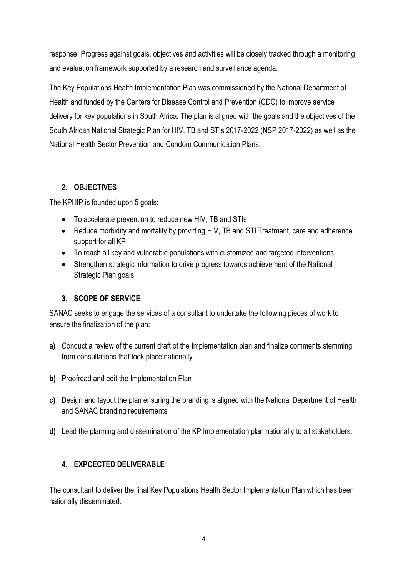response. Progress against goals, objectives and activities will be closely tracked through a monitoring and evaluation framework supported by a research and surveillance agenda.

The Key Populations Health Implementation Plan was commissioned by the National Department of Health and funded by the Centers for Disease Control and Prevention (CDC) to improve service delivery for key populations in South Africa. The plan is aligned with the goals and the objectives of the South African National Strategic Plan for HIV, TB and STIs 2017-2022 (NSP 2017-2022) as well as the National Health Sector Prevention and Condom Communication Plans.

#### <span id="page-3-0"></span>**2. OBJECTIVES**

The KPHIP is founded upon 5 goals:

- To accelerate prevention to reduce new HIV, TB and STIs
- Reduce morbidity and mortality by providing HIV, TB and STI Treatment, care and adherence support for all KP
- To reach all key and vulnerable populations with customized and targeted interventions
- Strengthen strategic information to drive progress towards achievement of the National Strategic Plan goals

#### <span id="page-3-1"></span>**3. SCOPE OF SERVICE**

SANAC seeks to engage the services of a consultant to undertake the following pieces of work to ensure the finalization of the plan:

- **a)** Conduct a review of the current draft of the Implementation plan and finalize comments stemming from consultations that took place nationally
- **b)** Proofread and edit the Implementation Plan
- **c)** Design and layout the plan ensuring the branding is aligned with the National Department of Health and SANAC branding requirements
- **d)** Lead the planning and dissemination of the KP Implementation plan nationally to all stakeholders.

### <span id="page-3-2"></span>**4. EXPCECTED DELIVERABLE**

The consultant to deliver the final Key Populations Health Sector Implementation Plan which has been nationally disseminated.